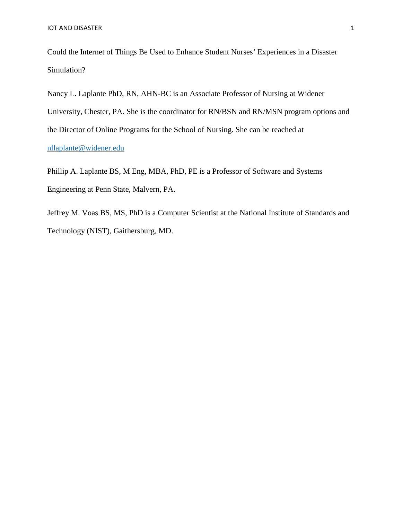Could the Internet of Things Be Used to Enhance Student Nurses' Experiences in a Disaster Simulation?

Nancy L. Laplante PhD, RN, AHN-BC is an Associate Professor of Nursing at Widener University, Chester, PA. She is the coordinator for RN/BSN and RN/MSN program options and the Director of Online Programs for the School of Nursing. She can be reached at [nllaplante@widener.edu](mailto:nllaplante@widener.edu)

Phillip A. Laplante BS, M Eng, MBA, PhD, PE is a Professor of Software and Systems Engineering at Penn State, Malvern, PA.

Jeffrey M. Voas BS, MS, PhD is a Computer Scientist at the National Institute of Standards and Technology (NIST), Gaithersburg, MD.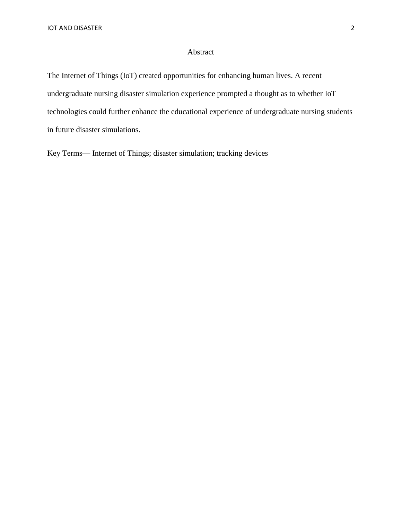# Abstract

The Internet of Things (IoT) created opportunities for enhancing human lives. A recent undergraduate nursing disaster simulation experience prompted a thought as to whether IoT technologies could further enhance the educational experience of undergraduate nursing students in future disaster simulations.

Key Terms— Internet of Things; disaster simulation; tracking devices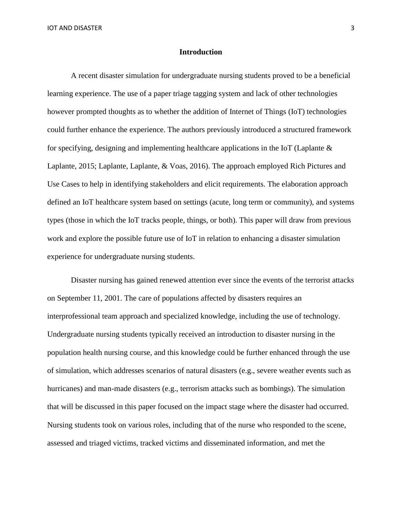#### **Introduction**

A recent disaster simulation for undergraduate nursing students proved to be a beneficial learning experience. The use of a paper triage tagging system and lack of other technologies however prompted thoughts as to whether the addition of Internet of Things (IoT) technologies could further enhance the experience. The authors previously introduced a structured framework for specifying, designing and implementing healthcare applications in the IoT (Laplante & Laplante, 2015; Laplante, Laplante, & Voas, 2016). The approach employed Rich Pictures and Use Cases to help in identifying stakeholders and elicit requirements. The elaboration approach defined an IoT healthcare system based on settings (acute, long term or community), and systems types (those in which the IoT tracks people, things, or both). This paper will draw from previous work and explore the possible future use of IoT in relation to enhancing a disaster simulation experience for undergraduate nursing students.

Disaster nursing has gained renewed attention ever since the events of the terrorist attacks on September 11, 2001. The care of populations affected by disasters requires an interprofessional team approach and specialized knowledge, including the use of technology. Undergraduate nursing students typically received an introduction to disaster nursing in the population health nursing course, and this knowledge could be further enhanced through the use of simulation, which addresses scenarios of natural disasters (e.g., severe weather events such as hurricanes) and man-made disasters (e.g., terrorism attacks such as bombings). The simulation that will be discussed in this paper focused on the impact stage where the disaster had occurred. Nursing students took on various roles, including that of the nurse who responded to the scene, assessed and triaged victims, tracked victims and disseminated information, and met the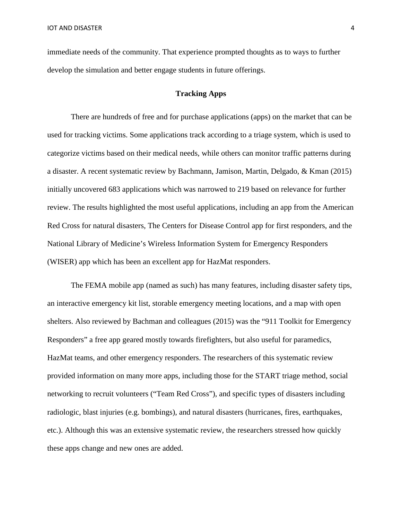immediate needs of the community. That experience prompted thoughts as to ways to further develop the simulation and better engage students in future offerings.

## **Tracking Apps**

There are hundreds of free and for purchase applications (apps) on the market that can be used for tracking victims. Some applications track according to a triage system, which is used to categorize victims based on their medical needs, while others can monitor traffic patterns during a disaster. A recent systematic review by Bachmann, Jamison, Martin, Delgado, & Kman (2015) initially uncovered 683 applications which was narrowed to 219 based on relevance for further review. The results highlighted the most useful applications, including an app from the American Red Cross for natural disasters, The Centers for Disease Control app for first responders, and the National Library of Medicine's Wireless Information System for Emergency Responders (WISER) app which has been an excellent app for HazMat responders.

The FEMA mobile app (named as such) has many features, including disaster safety tips, an interactive emergency kit list, storable emergency meeting locations, and a map with open shelters. Also reviewed by Bachman and colleagues (2015) was the "911 Toolkit for Emergency Responders" a free app geared mostly towards firefighters, but also useful for paramedics, HazMat teams, and other emergency responders. The researchers of this systematic review provided information on many more apps, including those for the START triage method, social networking to recruit volunteers ("Team Red Cross"), and specific types of disasters including radiologic, blast injuries (e.g. bombings), and natural disasters (hurricanes, fires, earthquakes, etc.). Although this was an extensive systematic review, the researchers stressed how quickly these apps change and new ones are added.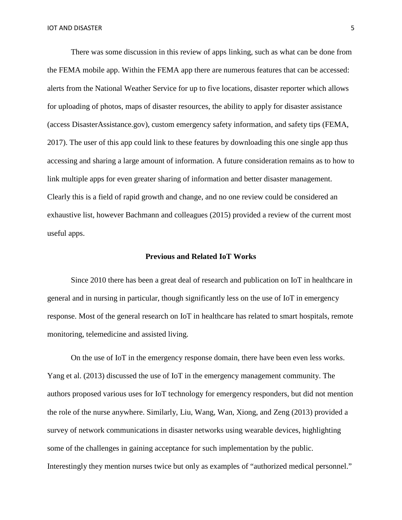There was some discussion in this review of apps linking, such as what can be done from the FEMA mobile app. Within the FEMA app there are numerous features that can be accessed: alerts from the National Weather Service for up to five locations, disaster reporter which allows for uploading of photos, maps of disaster resources, the ability to apply for disaster assistance (access DisasterAssistance.gov), custom emergency safety information, and safety tips (FEMA, 2017). The user of this app could link to these features by downloading this one single app thus accessing and sharing a large amount of information. A future consideration remains as to how to link multiple apps for even greater sharing of information and better disaster management. Clearly this is a field of rapid growth and change, and no one review could be considered an exhaustive list, however Bachmann and colleagues (2015) provided a review of the current most useful apps.

## **Previous and Related IoT Works**

Since 2010 there has been a great deal of research and publication on IoT in healthcare in general and in nursing in particular, though significantly less on the use of IoT in emergency response. Most of the general research on IoT in healthcare has related to smart hospitals, remote monitoring, telemedicine and assisted living.

On the use of IoT in the emergency response domain, there have been even less works. Yang et al. (2013) discussed the use of IoT in the emergency management community. The authors proposed various uses for IoT technology for emergency responders, but did not mention the role of the nurse anywhere. Similarly, Liu, Wang, Wan, Xiong, and Zeng (2013) provided a survey of network communications in disaster networks using wearable devices, highlighting some of the challenges in gaining acceptance for such implementation by the public. Interestingly they mention nurses twice but only as examples of "authorized medical personnel."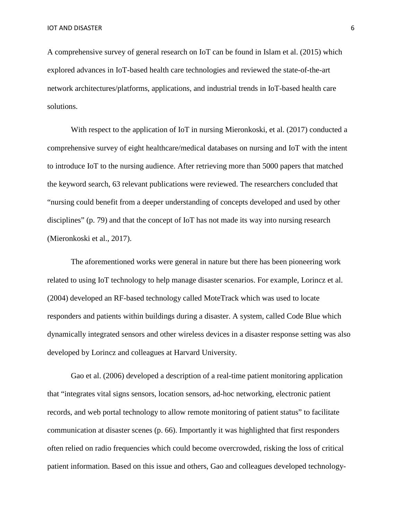A comprehensive survey of general research on IoT can be found in Islam et al. (2015) which explored advances in IoT-based health care technologies and reviewed the state-of-the-art network architectures/platforms, applications, and industrial trends in IoT-based health care solutions.

With respect to the application of IoT in nursing Mieronkoski, et al. (2017) conducted a comprehensive survey of eight healthcare/medical databases on nursing and IoT with the intent to introduce IoT to the nursing audience. After retrieving more than 5000 papers that matched the keyword search, 63 relevant publications were reviewed. The researchers concluded that "nursing could benefit from a deeper understanding of concepts developed and used by other disciplines" (p. 79) and that the concept of IoT has not made its way into nursing research (Mieronkoski et al., 2017).

The aforementioned works were general in nature but there has been pioneering work related to using IoT technology to help manage disaster scenarios. For example, Lorincz et al. (2004) developed an RF-based technology called MoteTrack which was used to locate responders and patients within buildings during a disaster. A system, called Code Blue which dynamically integrated sensors and other wireless devices in a disaster response setting was also developed by Lorincz and colleagues at Harvard University.

Gao et al. (2006) developed a description of a real-time patient monitoring application that "integrates vital signs sensors, location sensors, ad-hoc networking, electronic patient records, and web portal technology to allow remote monitoring of patient status" to facilitate communication at disaster scenes (p. 66). Importantly it was highlighted that first responders often relied on radio frequencies which could become overcrowded, risking the loss of critical patient information. Based on this issue and others, Gao and colleagues developed technology-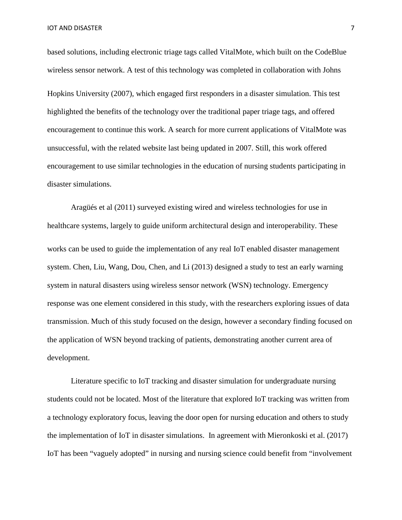based solutions, including electronic triage tags called VitalMote, which built on the CodeBlue wireless sensor network. A test of this technology was completed in collaboration with Johns Hopkins University (2007), which engaged first responders in a disaster simulation. This test highlighted the benefits of the technology over the traditional paper triage tags, and offered encouragement to continue this work. A search for more current applications of VitalMote was unsuccessful, with the related website last being updated in 2007. Still, this work offered encouragement to use similar technologies in the education of nursing students participating in disaster simulations.

Aragüés et al (2011) surveyed existing wired and wireless technologies for use in healthcare systems, largely to guide uniform architectural design and interoperability. These works can be used to guide the implementation of any real IoT enabled disaster management system. Chen, Liu, Wang, Dou, Chen, and Li (2013) designed a study to test an early warning system in natural disasters using wireless sensor network (WSN) technology. Emergency response was one element considered in this study, with the researchers exploring issues of data transmission. Much of this study focused on the design, however a secondary finding focused on the application of WSN beyond tracking of patients, demonstrating another current area of development.

Literature specific to IoT tracking and disaster simulation for undergraduate nursing students could not be located. Most of the literature that explored IoT tracking was written from a technology exploratory focus, leaving the door open for nursing education and others to study the implementation of IoT in disaster simulations. In agreement with Mieronkoski et al. (2017) IoT has been "vaguely adopted" in nursing and nursing science could benefit from "involvement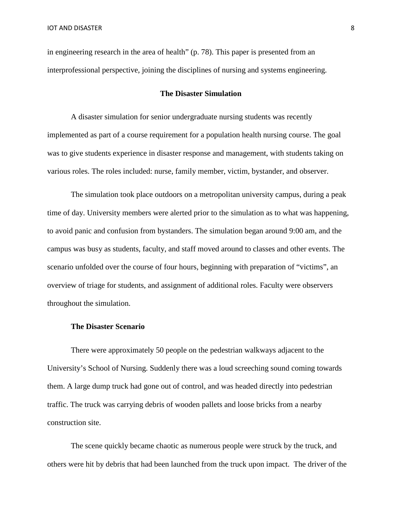in engineering research in the area of health" (p. 78). This paper is presented from an interprofessional perspective, joining the disciplines of nursing and systems engineering.

#### **The Disaster Simulation**

A disaster simulation for senior undergraduate nursing students was recently implemented as part of a course requirement for a population health nursing course. The goal was to give students experience in disaster response and management, with students taking on various roles. The roles included: nurse, family member, victim, bystander, and observer.

The simulation took place outdoors on a metropolitan university campus, during a peak time of day. University members were alerted prior to the simulation as to what was happening, to avoid panic and confusion from bystanders. The simulation began around 9:00 am, and the campus was busy as students, faculty, and staff moved around to classes and other events. The scenario unfolded over the course of four hours, beginning with preparation of "victims", an overview of triage for students, and assignment of additional roles. Faculty were observers throughout the simulation.

#### **The Disaster Scenario**

There were approximately 50 people on the pedestrian walkways adjacent to the University's School of Nursing. Suddenly there was a loud screeching sound coming towards them. A large dump truck had gone out of control, and was headed directly into pedestrian traffic. The truck was carrying debris of wooden pallets and loose bricks from a nearby construction site.

The scene quickly became chaotic as numerous people were struck by the truck, and others were hit by debris that had been launched from the truck upon impact. The driver of the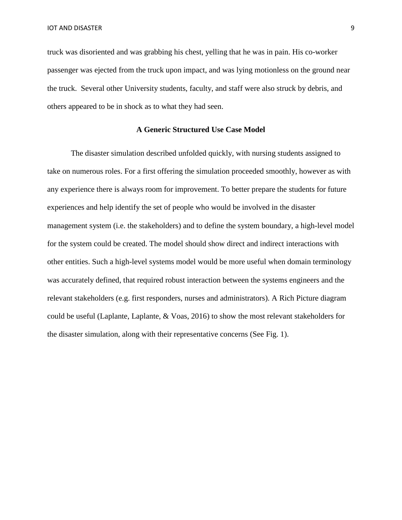truck was disoriented and was grabbing his chest, yelling that he was in pain. His co-worker passenger was ejected from the truck upon impact, and was lying motionless on the ground near the truck. Several other University students, faculty, and staff were also struck by debris, and others appeared to be in shock as to what they had seen.

# **A Generic Structured Use Case Model**

The disaster simulation described unfolded quickly, with nursing students assigned to take on numerous roles. For a first offering the simulation proceeded smoothly, however as with any experience there is always room for improvement. To better prepare the students for future experiences and help identify the set of people who would be involved in the disaster management system (i.e. the stakeholders) and to define the system boundary, a high-level model for the system could be created. The model should show direct and indirect interactions with other entities. Such a high-level systems model would be more useful when domain terminology was accurately defined, that required robust interaction between the systems engineers and the relevant stakeholders (e.g. first responders, nurses and administrators). A Rich Picture diagram could be useful (Laplante, Laplante, & Voas, 2016) to show the most relevant stakeholders for the disaster simulation, along with their representative concerns (See Fig. 1).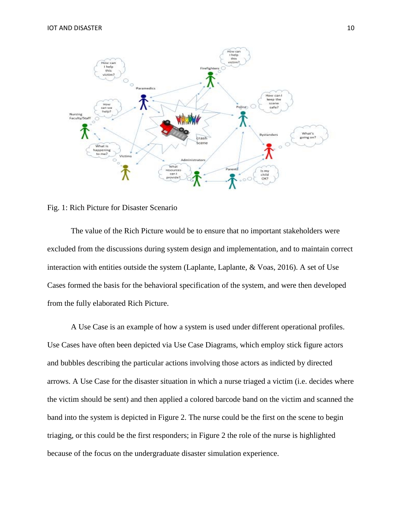

Fig. 1: Rich Picture for Disaster Scenario

The value of the Rich Picture would be to ensure that no important stakeholders were excluded from the discussions during system design and implementation, and to maintain correct interaction with entities outside the system (Laplante, Laplante, & Voas, 2016). A set of Use Cases formed the basis for the behavioral specification of the system, and were then developed from the fully elaborated Rich Picture.

A Use Case is an example of how a system is used under different operational profiles. Use Cases have often been depicted via Use Case Diagrams, which employ stick figure actors and bubbles describing the particular actions involving those actors as indicted by directed arrows. A Use Case for the disaster situation in which a nurse triaged a victim (i.e. decides where the victim should be sent) and then applied a colored barcode band on the victim and scanned the band into the system is depicted in Figure 2. The nurse could be the first on the scene to begin triaging, or this could be the first responders; in Figure 2 the role of the nurse is highlighted because of the focus on the undergraduate disaster simulation experience.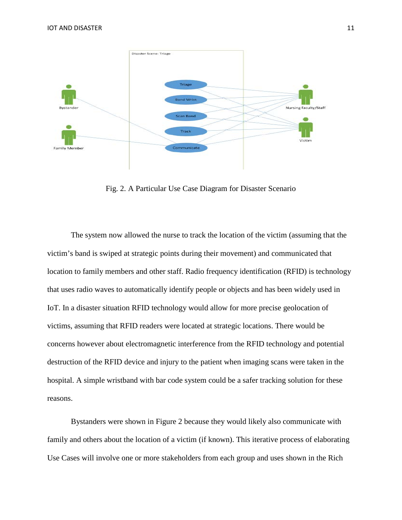

Fig. 2. A Particular Use Case Diagram for Disaster Scenario

The system now allowed the nurse to track the location of the victim (assuming that the victim's band is swiped at strategic points during their movement) and communicated that location to family members and other staff. Radio frequency identification (RFID) is technology that uses radio waves to automatically identify people or objects and has been widely used in IoT. In a disaster situation RFID technology would allow for more precise geolocation of victims, assuming that RFID readers were located at strategic locations. There would be concerns however about electromagnetic interference from the RFID technology and potential destruction of the RFID device and injury to the patient when imaging scans were taken in the hospital. A simple wristband with bar code system could be a safer tracking solution for these reasons.

Bystanders were shown in Figure 2 because they would likely also communicate with family and others about the location of a victim (if known). This iterative process of elaborating Use Cases will involve one or more stakeholders from each group and uses shown in the Rich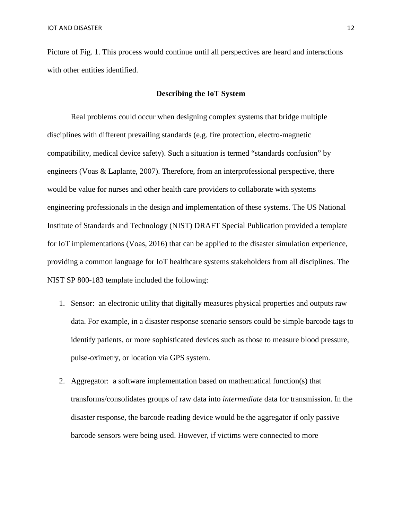Picture of Fig. 1. This process would continue until all perspectives are heard and interactions with other entities identified.

#### **Describing the IoT System**

Real problems could occur when designing complex systems that bridge multiple disciplines with different prevailing standards (e.g. fire protection, electro-magnetic compatibility, medical device safety). Such a situation is termed "standards confusion" by engineers (Voas  $\&$  Laplante, 2007). Therefore, from an interprofessional perspective, there would be value for nurses and other health care providers to collaborate with systems engineering professionals in the design and implementation of these systems. The US National Institute of Standards and Technology (NIST) DRAFT Special Publication provided a template for IoT implementations (Voas, 2016) that can be applied to the disaster simulation experience, providing a common language for IoT healthcare systems stakeholders from all disciplines. The NIST SP 800-183 template included the following:

- 1. Sensor: an electronic utility that digitally measures physical properties and outputs raw data. For example, in a disaster response scenario sensors could be simple barcode tags to identify patients, or more sophisticated devices such as those to measure blood pressure, pulse-oximetry, or location via GPS system.
- 2. Aggregator: a software implementation based on mathematical function(s) that transforms/consolidates groups of raw data into *intermediate* data for transmission. In the disaster response, the barcode reading device would be the aggregator if only passive barcode sensors were being used. However, if victims were connected to more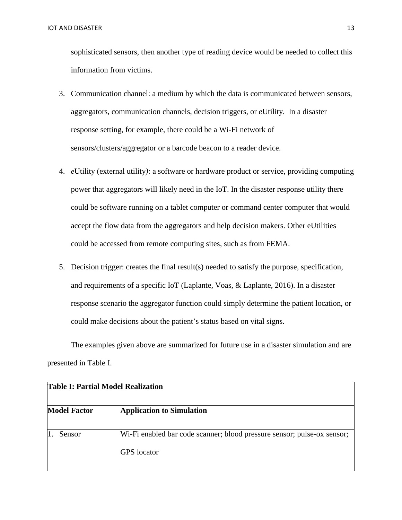sophisticated sensors, then another type of reading device would be needed to collect this information from victims.

- 3. Communication channel: a medium by which the data is communicated between sensors, aggregators, communication channels, decision triggers, or *e*Utility. In a disaster response setting, for example, there could be a Wi-Fi network of sensors/clusters/aggregator or a barcode beacon to a reader device.
- 4. *e*Utility (external utility*)*: a software or hardware product or service, providing computing power that aggregators will likely need in the IoT. In the disaster response utility there could be software running on a tablet computer or command center computer that would accept the flow data from the aggregators and help decision makers. Other eUtilities could be accessed from remote computing sites, such as from FEMA.
- 5. Decision trigger: creates the final result(s) needed to satisfy the purpose, specification, and requirements of a specific IoT (Laplante, Voas, & Laplante, 2016). In a disaster response scenario the aggregator function could simply determine the patient location, or could make decisions about the patient's status based on vital signs.

The examples given above are summarized for future use in a disaster simulation and are presented in Table I.

| <b>Table I: Partial Model Realization</b> |                                                                                               |  |
|-------------------------------------------|-----------------------------------------------------------------------------------------------|--|
| <b>Model Factor</b>                       | <b>Application to Simulation</b>                                                              |  |
| Sensor                                    | Wi-Fi enabled bar code scanner; blood pressure sensor; pulse-ox sensor;<br><b>GPS</b> locator |  |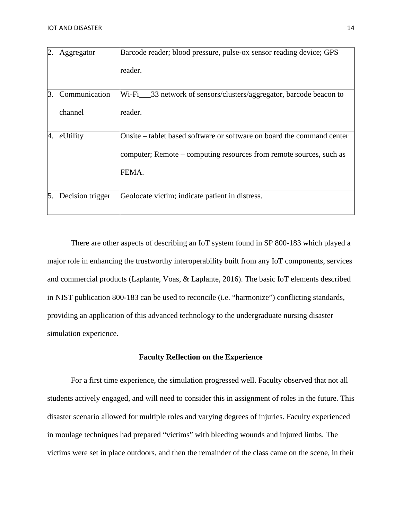|    | Aggregator       | Barcode reader; blood pressure, pulse-ox sensor reading device; GPS    |
|----|------------------|------------------------------------------------------------------------|
|    |                  | reader.                                                                |
| Β. | Communication    | Wi-Fi___33 network of sensors/clusters/aggregator, barcode beacon to   |
|    | channel          | reader.                                                                |
| 4. | eUtility         | Onsite – tablet based software or software on board the command center |
|    |                  | computer; Remote – computing resources from remote sources, such as    |
|    |                  | FEMA.                                                                  |
| 5. | Decision trigger | Geolocate victim; indicate patient in distress.                        |

There are other aspects of describing an IoT system found in SP 800-183 which played a major role in enhancing the trustworthy interoperability built from any IoT components, services and commercial products (Laplante, Voas, & Laplante, 2016). The basic IoT elements described in NIST publication 800-183 can be used to reconcile (i.e. "harmonize") conflicting standards, providing an application of this advanced technology to the undergraduate nursing disaster simulation experience.

# **Faculty Reflection on the Experience**

For a first time experience, the simulation progressed well. Faculty observed that not all students actively engaged, and will need to consider this in assignment of roles in the future. This disaster scenario allowed for multiple roles and varying degrees of injuries. Faculty experienced in moulage techniques had prepared "victims" with bleeding wounds and injured limbs. The victims were set in place outdoors, and then the remainder of the class came on the scene, in their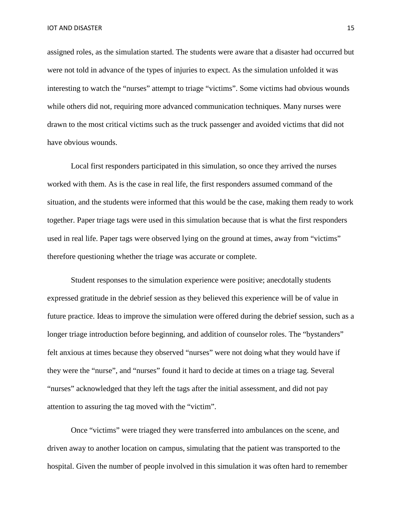assigned roles, as the simulation started. The students were aware that a disaster had occurred but were not told in advance of the types of injuries to expect. As the simulation unfolded it was interesting to watch the "nurses" attempt to triage "victims". Some victims had obvious wounds while others did not, requiring more advanced communication techniques. Many nurses were drawn to the most critical victims such as the truck passenger and avoided victims that did not have obvious wounds.

Local first responders participated in this simulation, so once they arrived the nurses worked with them. As is the case in real life, the first responders assumed command of the situation, and the students were informed that this would be the case, making them ready to work together. Paper triage tags were used in this simulation because that is what the first responders used in real life. Paper tags were observed lying on the ground at times, away from "victims" therefore questioning whether the triage was accurate or complete.

Student responses to the simulation experience were positive; anecdotally students expressed gratitude in the debrief session as they believed this experience will be of value in future practice. Ideas to improve the simulation were offered during the debrief session, such as a longer triage introduction before beginning, and addition of counselor roles. The "bystanders" felt anxious at times because they observed "nurses" were not doing what they would have if they were the "nurse", and "nurses" found it hard to decide at times on a triage tag. Several "nurses" acknowledged that they left the tags after the initial assessment, and did not pay attention to assuring the tag moved with the "victim".

Once "victims" were triaged they were transferred into ambulances on the scene, and driven away to another location on campus, simulating that the patient was transported to the hospital. Given the number of people involved in this simulation it was often hard to remember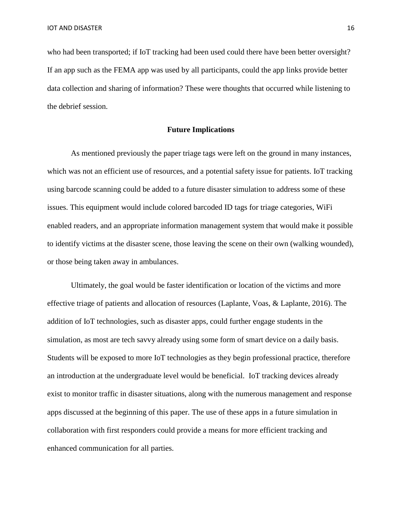who had been transported; if IoT tracking had been used could there have been better oversight? If an app such as the FEMA app was used by all participants, could the app links provide better data collection and sharing of information? These were thoughts that occurred while listening to the debrief session.

#### **Future Implications**

As mentioned previously the paper triage tags were left on the ground in many instances, which was not an efficient use of resources, and a potential safety issue for patients. IoT tracking using barcode scanning could be added to a future disaster simulation to address some of these issues. This equipment would include colored barcoded ID tags for triage categories, WiFi enabled readers, and an appropriate information management system that would make it possible to identify victims at the disaster scene, those leaving the scene on their own (walking wounded), or those being taken away in ambulances.

Ultimately, the goal would be faster identification or location of the victims and more effective triage of patients and allocation of resources (Laplante, Voas, & Laplante, 2016). The addition of IoT technologies, such as disaster apps, could further engage students in the simulation, as most are tech savvy already using some form of smart device on a daily basis. Students will be exposed to more IoT technologies as they begin professional practice, therefore an introduction at the undergraduate level would be beneficial. IoT tracking devices already exist to monitor traffic in disaster situations, along with the numerous management and response apps discussed at the beginning of this paper. The use of these apps in a future simulation in collaboration with first responders could provide a means for more efficient tracking and enhanced communication for all parties.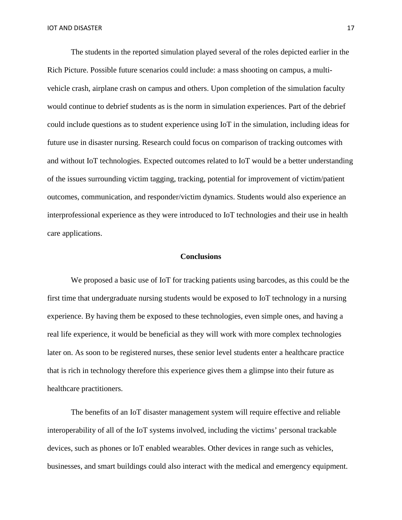The students in the reported simulation played several of the roles depicted earlier in the Rich Picture. Possible future scenarios could include: a mass shooting on campus, a multivehicle crash, airplane crash on campus and others. Upon completion of the simulation faculty would continue to debrief students as is the norm in simulation experiences. Part of the debrief could include questions as to student experience using IoT in the simulation, including ideas for future use in disaster nursing. Research could focus on comparison of tracking outcomes with and without IoT technologies. Expected outcomes related to IoT would be a better understanding of the issues surrounding victim tagging, tracking, potential for improvement of victim/patient outcomes, communication, and responder/victim dynamics. Students would also experience an interprofessional experience as they were introduced to IoT technologies and their use in health care applications.

## **Conclusions**

We proposed a basic use of IoT for tracking patients using barcodes, as this could be the first time that undergraduate nursing students would be exposed to IoT technology in a nursing experience. By having them be exposed to these technologies, even simple ones, and having a real life experience, it would be beneficial as they will work with more complex technologies later on. As soon to be registered nurses, these senior level students enter a healthcare practice that is rich in technology therefore this experience gives them a glimpse into their future as healthcare practitioners.

The benefits of an IoT disaster management system will require effective and reliable interoperability of all of the IoT systems involved, including the victims' personal trackable devices, such as phones or IoT enabled wearables. Other devices in range such as vehicles, businesses, and smart buildings could also interact with the medical and emergency equipment.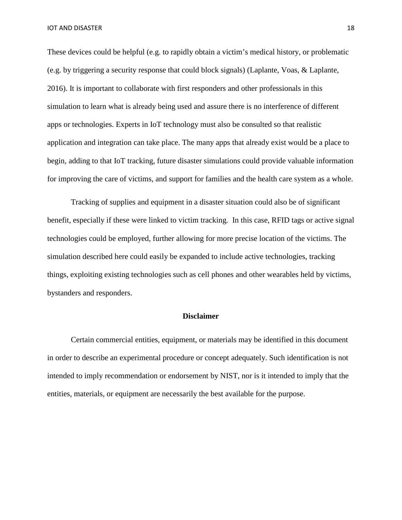These devices could be helpful (e.g. to rapidly obtain a victim's medical history, or problematic (e.g. by triggering a security response that could block signals) (Laplante, Voas, & Laplante, 2016). It is important to collaborate with first responders and other professionals in this simulation to learn what is already being used and assure there is no interference of different apps or technologies. Experts in IoT technology must also be consulted so that realistic application and integration can take place. The many apps that already exist would be a place to begin, adding to that IoT tracking, future disaster simulations could provide valuable information for improving the care of victims, and support for families and the health care system as a whole.

Tracking of supplies and equipment in a disaster situation could also be of significant benefit, especially if these were linked to victim tracking. In this case, RFID tags or active signal technologies could be employed, further allowing for more precise location of the victims. The simulation described here could easily be expanded to include active technologies, tracking things, exploiting existing technologies such as cell phones and other wearables held by victims, bystanders and responders.

# **Disclaimer**

Certain commercial entities, equipment, or materials may be identified in this document in order to describe an experimental procedure or concept adequately. Such identification is not intended to imply recommendation or endorsement by NIST, nor is it intended to imply that the entities, materials, or equipment are necessarily the best available for the purpose.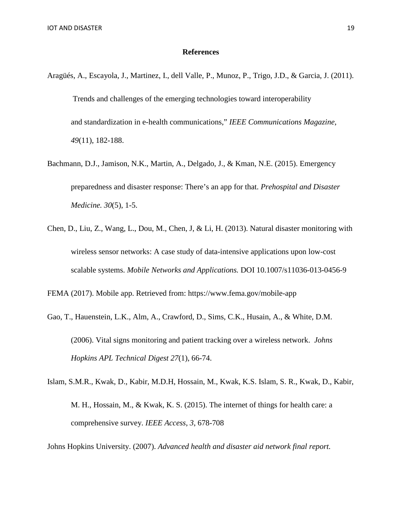#### **References**

- Aragüés, A., Escayola, J., Martinez, I., dell Valle, P., Munoz, P., Trigo, J.D., & Garcia, J. (2011). Trends and challenges of the emerging technologies toward interoperability and standardization in e-health communications," *IEEE Communications Magazine*, *49*(11), 182-188.
- Bachmann, D.J., Jamison, N.K., Martin, A., Delgado, J., & Kman, N.E. (2015). Emergency preparedness and disaster response: There's an app for that. *Prehospital and Disaster Medicine. 30*(5), 1-5.
- Chen, D., Liu, Z., Wang, L., Dou, M., Chen, J, & Li, H. (2013). Natural disaster monitoring with wireless sensor networks: A case study of data-intensive applications upon low-cost scalable systems. *Mobile Networks and Applications.* DOI 10.1007/s11036-013-0456-9

FEMA (2017). Mobile app. Retrieved from: https://www.fema.gov/mobile-app

- Gao, T., Hauenstein, L.K., Alm, A., Crawford, D., Sims, C.K., Husain, A., & White, D.M. (2006). Vital signs monitoring and patient tracking over a wireless network. *Johns Hopkins APL Technical Digest 27*(1), 66-74.
- Islam, S.M.R., Kwak, D., Kabir, M.D.H, Hossain, M., Kwak, K.S. Islam, S. R., Kwak, D., Kabir, M. H., Hossain, M., & Kwak, K. S. (2015). The internet of things for health care: a comprehensive survey. *IEEE Access*, *3*, 678-708

Johns Hopkins University. (2007). *Advanced health and disaster aid network final report.*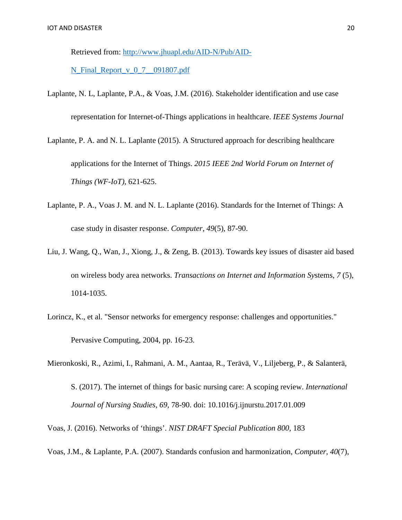Retrieved from: [http://www.jhuapl.edu/AID-N/Pub/AID-](http://www.jhuapl.edu/AID-N/Pub/AID-N_Final_Report_v_0_7__091807.pdf)

[N\\_Final\\_Report\\_v\\_0\\_7\\_\\_091807.pdf](http://www.jhuapl.edu/AID-N/Pub/AID-N_Final_Report_v_0_7__091807.pdf)

Laplante, N. L, Laplante, P.A., & Voas, J.M. (2016). Stakeholder identification and use case representation for Internet-of-Things applications in healthcare. *IEEE Systems Journal*

Laplante, P. A. and N. L. Laplante (2015). A Structured approach for describing healthcare applications for the Internet of Things. *2015 IEEE 2nd World Forum on Internet of Things (WF-IoT)*, 621-625.

- Laplante, P. A., Voas J. M. and N. L. Laplante (2016). Standards for the Internet of Things: A case study in disaster response. *Computer, 49*(5), 87-90.
- Liu, J. Wang, Q., Wan, J., Xiong, J., & Zeng, B. (2013). Towards key issues of disaster aid based on wireless body area networks. *Transactions on Internet and Information Sy*stems, *7* (5), 1014-1035.
- Lorincz, K., et al. "Sensor networks for emergency response: challenges and opportunities." Pervasive Computing, 2004, pp. 16-23.
- Mieronkoski, R., Azimi, I., Rahmani, A. M., Aantaa, R., Terävä, V., Liljeberg, P., & Salanterä, S. (2017). The internet of things for basic nursing care: A scoping review. *International Journal of Nursing Studies, 69,* 78-90. doi: 10.1016/j.ijnurstu.2017.01.009

Voas, J. (2016). Networks of 'things'. *NIST DRAFT Special Publication 800,* 183

Voas, J.M., & Laplante, P.A. (2007). Standards confusion and harmonization, *Computer*, *40*(7),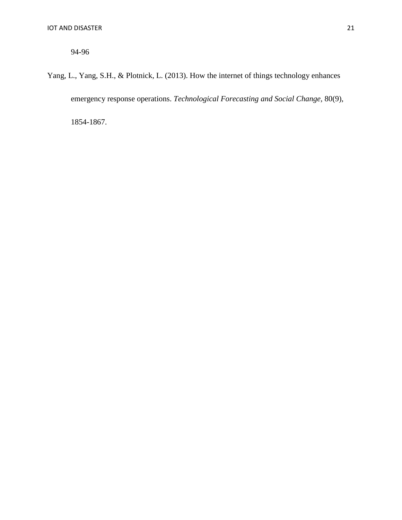94-96

# Yang, L., Yang, S.H., & Plotnick, L. (2013). How the internet of things technology enhances emergency response operations. *Technological Forecasting and Social Change,* 80(9), 1854-1867.